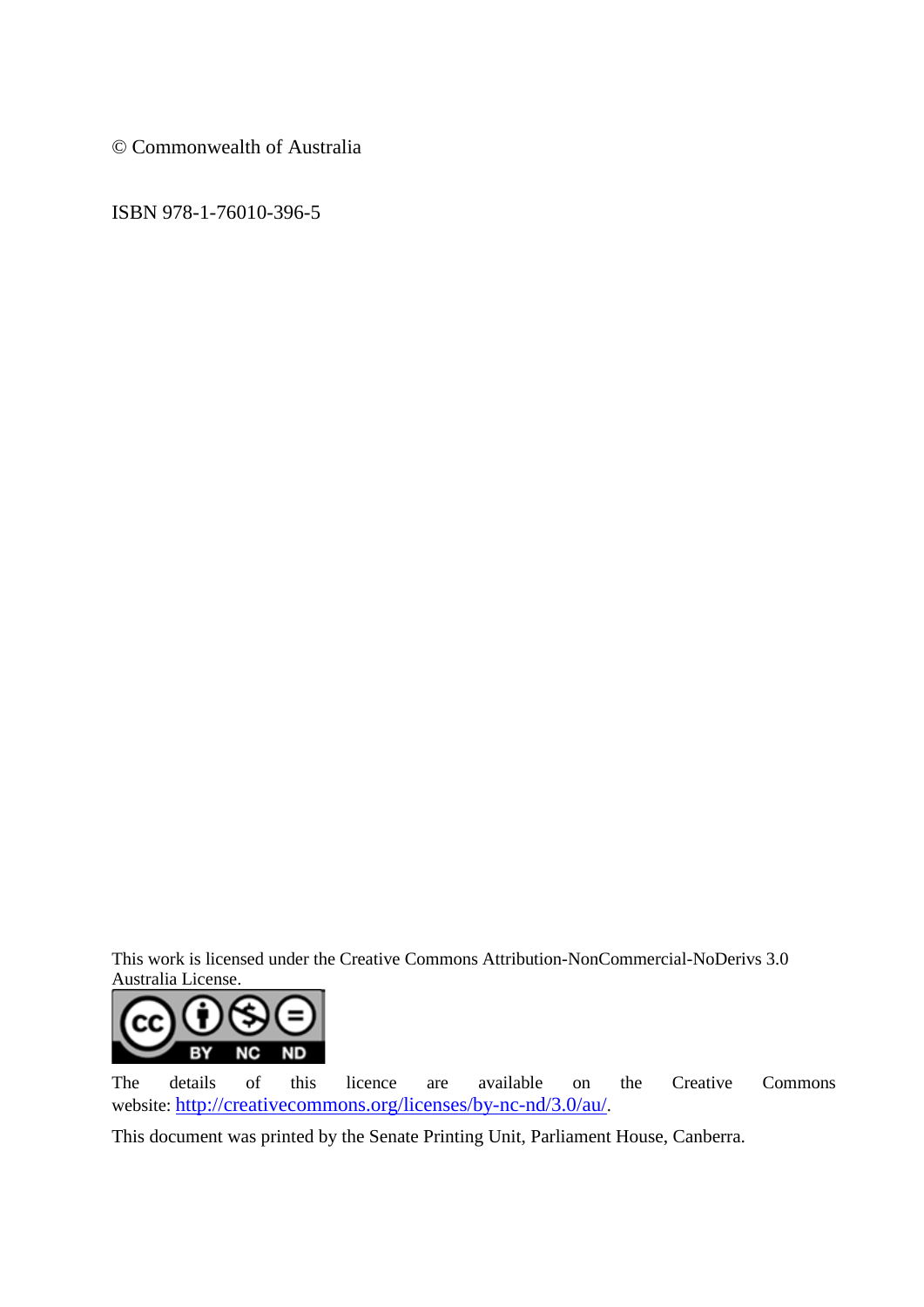© Commonwealth of Australia

ISBN 978-1-76010-396-5

This work is licensed under the Creative Commons Attribution-NonCommercial-NoDerivs 3.0 Australia License.



The details of this licence are available on the Creative Commons website: [http://creativecommons.org/licenses/by-nc-nd/3.0/au/.](http://creativecommons.org/licenses/by-nc-nd/3.0/au/)

This document was printed by the Senate Printing Unit, Parliament House, Canberra.